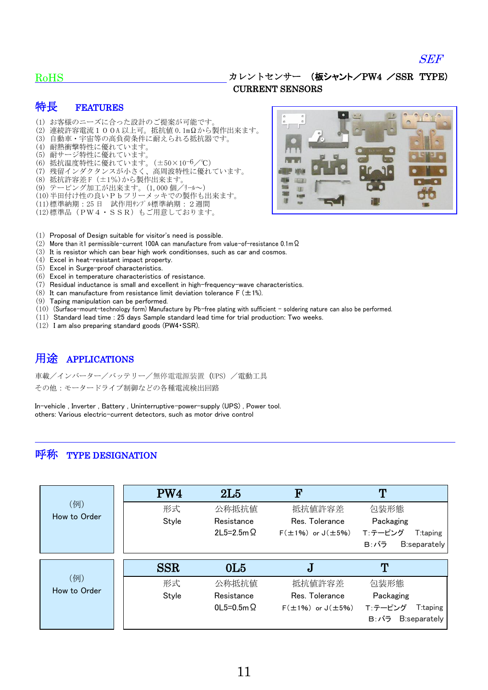#### SEF

#### RoHS

#### カレントセンサー (板シャント/PW4 /SSR TYPE) CURRENT SENSORS

### 特長 FEATURES

- (1) お客様のニーズに合った設計のご提案が可能です。 (2) 連続許容電流100A 以上可。抵抗値 0.1mΩから製作出来ます。 (3) 自動車・宇宙等の高負荷条件に耐えられる抵抗器です。 (4) 耐熱衝撃特性に優れています。 (5) 耐サージ特性に優れています。 (6) 抵抗温度特性に優れています。(±50×10-6/℃) (7) 残留インダクタンスが小さく、高周波特性に優れています。 (8) 抵抗許容差 F(±1%)から製作出来ます。 (9) テーピング加工が出来ます。(1,000 個/リール~) (10)半田付け性の良いPbフリーメッキでの製作も出来ます。 (11)標準納期:25 日 試作用サンプル標準納期:2週間 (12)標準品(PW4・SSR)もご用意しております。
- 
- (1) Proposal of Design suitable for visitor's need is possible.
- (2) More than it1 permissible-current 100A can manufacture from value-of-resistance 0.1mΩ.
- (3) It is resistor which can bear high work conditionses, such as car and cosmos.
- (4) Excel in heat-resistant impact property.
- (5) Excel in Surge-proof characteristics.
- (6) Excel in temperature characteristics of resistance.
- (7) Residual inductance is small and excellent in high-frequency-wave characteristics.
- (8) It can manufacture from resistance limit deviation tolerance  $F (\pm 1\%)$ .
- (9) Taping manipulation can be performed.
- (10) (Surface-mount-technology form) Manufacture by Pb-free plating with sufficient soldering nature can also be performed.
- (11) Standard lead time : 25 days Sample standard lead time for trial production: Two weeks.
- (12) I am also preparing standard goods (PW4・SSR).

## 用途 APPLICATIONS

車載/インバーター/バッテリー/無停電電源装置(UPS)/電動工具 その他:モータードライブ制御などの各種電流検出回路

In-vehicle , Inverter , Battery , Uninterruptive-power-supply (UPS) , Power tool. others: Various electric-current detectors, such as motor drive control

### 呼称 TYPE DESIGNATION

|              | PW4        | 2L5              | F                            | ጥ                    |
|--------------|------------|------------------|------------------------------|----------------------|
| (例)          | 形式         | 公称抵抗值            | 抵抗値許容差                       | 包装形態                 |
| How to Order | Style      | Resistance       | Res. Tolerance               | Packaging            |
|              |            | $2L5=2.5m\Omega$ | $F(\pm 1\%)$ or $J(\pm 5\%)$ | T:テーピング<br>T:taping  |
|              |            |                  |                              | B:バラ<br>B:separately |
|              |            |                  |                              |                      |
|              |            |                  |                              |                      |
|              | <b>SSR</b> | 0 <sub>L5</sub>  | J                            | ጥ                    |
| (例)          | 形式         | 公称抵抗值            | 抵抗值許容差                       | 包装形態                 |
| How to Order | Style      | Resistance       | Res. Tolerance               | Packaging            |
|              |            | $0L5=0.5m\Omega$ | $F(\pm 1\%)$ or $J(\pm 5\%)$ | T:テーピング<br>T:taping  |